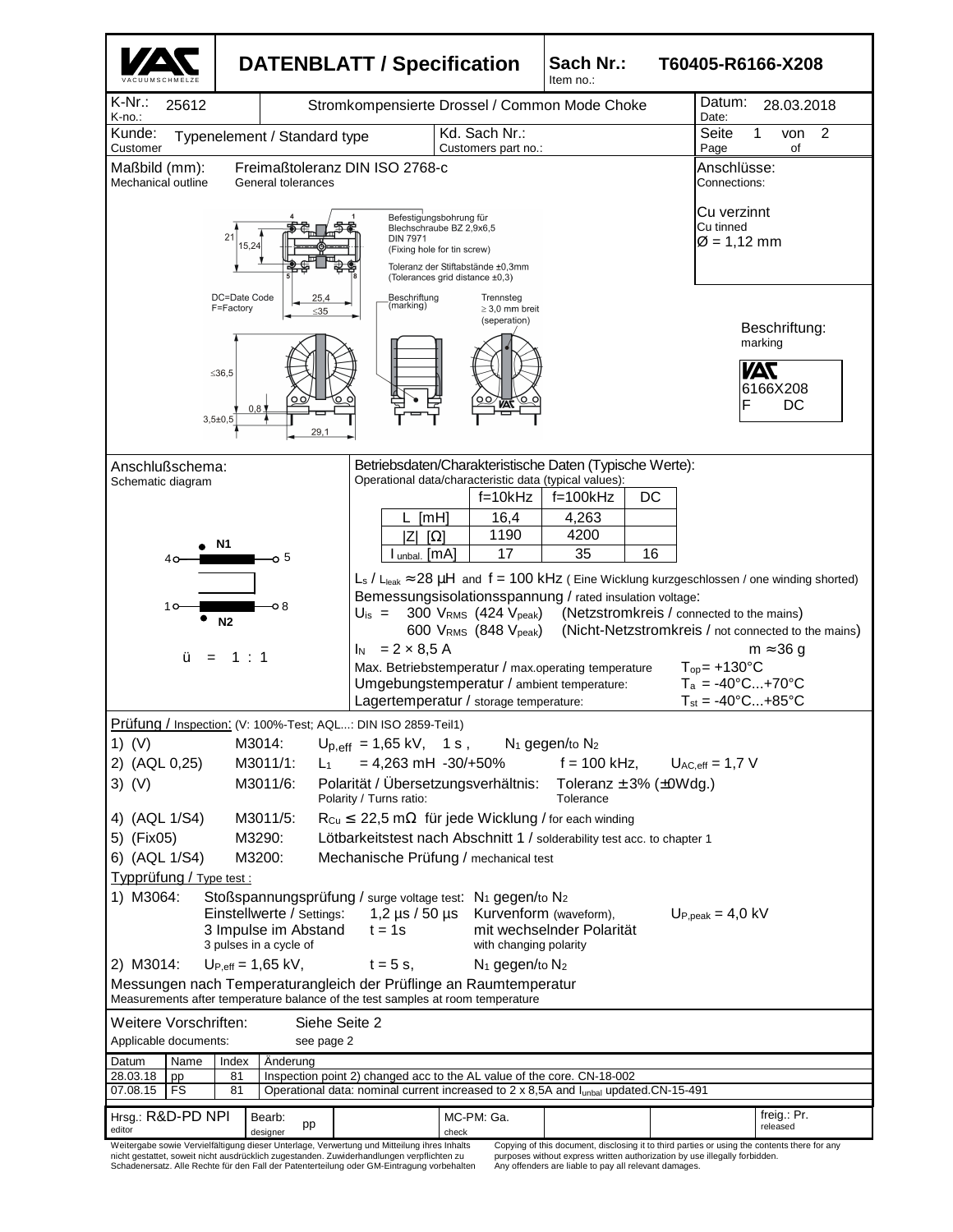

nicht gestattet, soweit nicht ausdrücklich zugestanden. Zuwiderhandlungen verpflichten zu Schadenersatz. Alle Rechte für den Fall der Patenterteilung oder GM-Eintragung vorbehalten purposes without express written authorization by use illegally forbidden. Any offenders are liable to pay all relevant damages.